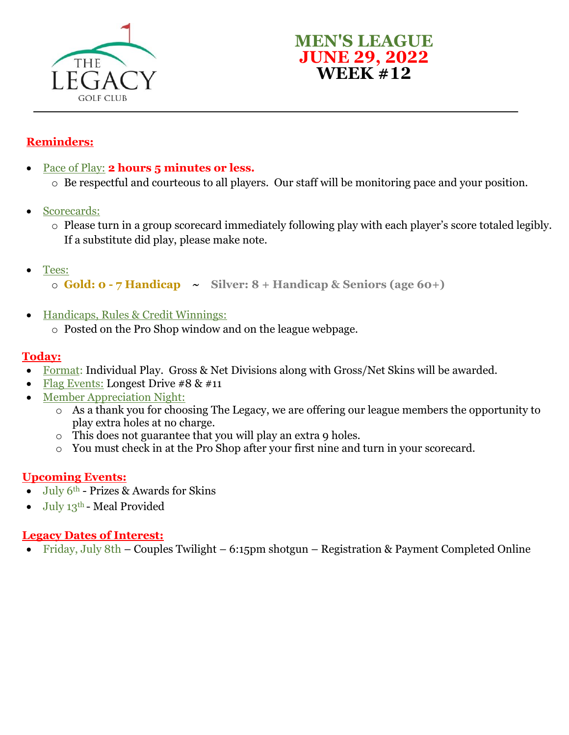



## **Reminders:**

- Pace of Play: **2 hours 5 minutes or less.** 
	- o Be respectful and courteous to all players. Our staff will be monitoring pace and your position.
- Scorecards:
	- o Please turn in a group scorecard immediately following play with each player's score totaled legibly. If a substitute did play, please make note.
- Tees:

o **Gold: 0 - 7 Handicap ~ Silver: 8 + Handicap & Seniors (age 60+)**

- Handicaps, Rules & Credit Winnings:
	- o Posted on the Pro Shop window and on the league webpage.

#### **Today:**

- Format: Individual Play. Gross & Net Divisions along with Gross/Net Skins will be awarded.
- Flag Events: Longest Drive  $\#8 \& \#11$
- Member Appreciation Night:
	- o As a thank you for choosing The Legacy, we are offering our league members the opportunity to play extra holes at no charge.
	- $\circ$  This does not guarantee that you will play an extra 9 holes.
	- o You must check in at the Pro Shop after your first nine and turn in your scorecard.

### **Upcoming Events:**

- $\bullet$  July 6<sup>th</sup> Prizes & Awards for Skins
- $\bullet$  July 13<sup>th</sup> Meal Provided

### **Legacy Dates of Interest:**

• Friday, July 8th – Couples Twilight – 6:15pm shotgun – Registration & Payment Completed Online